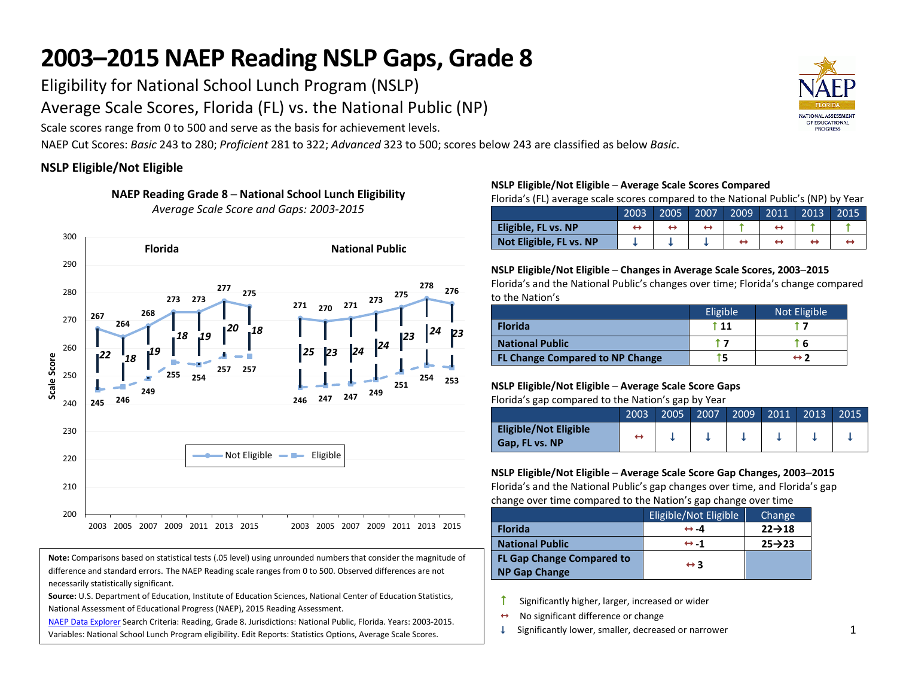# **2003–2015 NAEP Reading NSLP Gaps, Grade 8**

Eligibility for National School Lunch Program (NSLP)

Average Scale Scores, Florida (FL) vs. the National Public (NP)

Scale scores range from 0 to 500 and serve as the basis for achievement levels.

NAEP Cut Scores: *Basic* 243 to 280; *Proficient* 281 to 322; *Advanced* 323 to 500; scores below 243 are classified as below *Basic*.

## **NSLP Eligible/Not Eligible**



**NAEP Reading Grade 8 ─ National School Lunch Eligibility** *Average Scale Score and Gaps: 2003-2015*

#### **Note:** Comparisons based on statistical tests (.05 level) using unrounded numbers that consider the magnitude of difference and standard errors. The NAEP Reading scale ranges from 0 to 500. Observed differences are not necessarily statistically significant.

**Source:** U.S. Department of Education, Institute of Education Sciences, National Center of Education Statistics, National Assessment of Educational Progress (NAEP), 2015 Reading Assessment.

[NAEP Data Explorer](http://nces.ed.gov/nationsreportcard/naepdata/) Search Criteria: Reading, Grade 8. Jurisdictions: National Public, Florida. Years: 2003-2015. Variables: National School Lunch Program eligibility. Edit Reports: Statistics Options, Average Scale Scores.

#### **NSLP Eligible/Not Eligible ─ Average Scale Scores Compared**

Florida's (FL) average scale scores compared to the National Public's (NP) by Year

|                         | 2003 | 2005 | 2007 | 2009' | 2011 | 2013 | 2015 |
|-------------------------|------|------|------|-------|------|------|------|
| Eligible, FL vs. NP     |      |      |      |       |      |      |      |
| Not Eligible, FL vs. NP |      |      |      |       |      |      |      |

#### **NSLP Eligible/Not Eligible ─ Changes in Average Scale Scores, 2003─2015**

Florida's and the National Public's changes over time; Florida's change compared to the Nation's

|                                        | Eligible | Not Eligible        |
|----------------------------------------|----------|---------------------|
| <b>Florida</b>                         | † 11     |                     |
| <b>National Public</b>                 |          | ` 6                 |
| <b>FL Change Compared to NP Change</b> |          | $\leftrightarrow$ 2 |

#### **NSLP Eligible/Not Eligible ─ Average Scale Score Gaps**

Florida's gap compared to the Nation's gap by Year

|                                                | 2003 | 2005' | 2007 | 2009 | 2011 | 2013 | 2015 |
|------------------------------------------------|------|-------|------|------|------|------|------|
| <b>Eligible/Not Eligible</b><br>Gap, FL vs. NP |      |       |      |      |      |      |      |

#### **NSLP Eligible/Not Eligible ─ Average Scale Score Gap Changes, 2003─2015**

Florida's and the National Public's gap changes over time, and Florida's gap change over time compared to the Nation's gap change over time

|                                  | Eligible/Not Eligible | Change              |
|----------------------------------|-----------------------|---------------------|
| <b>Florida</b>                   | $\leftrightarrow -4$  | $22 \rightarrow 18$ |
| <b>National Public</b>           | $leftrightarrow -1$   | $25 \rightarrow 23$ |
| <b>FL Gap Change Compared to</b> | $\leftrightarrow$ 3   |                     |
| <b>NP Gap Change</b>             |                       |                     |

- Significantly higher, larger, increased or wider
- $\leftrightarrow$  No significant difference or change
- $\downarrow$  Significantly lower, smaller, decreased or narrower

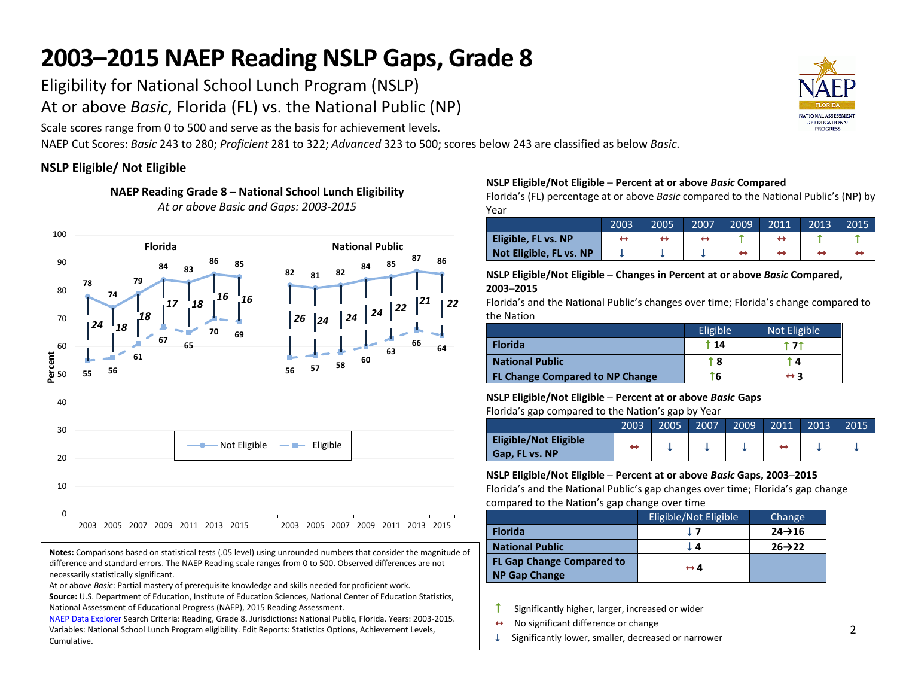# **2003–2015 NAEP Reading NSLP Gaps, Grade 8**

Eligibility for National School Lunch Program (NSLP)

At or above *Basic*, Florida (FL) vs. the National Public (NP)

Scale scores range from 0 to 500 and serve as the basis for achievement levels.

NAEP Cut Scores: *Basic* 243 to 280; *Proficient* 281 to 322; *Advanced* 323 to 500; scores below 243 are classified as below *Basic*.

# **NSLP Eligible/ Not Eligible**

**NAEP Reading Grade 8 ─ National School Lunch Eligibility** *At or above Basic and Gaps: 2003-2015*



**Notes:** Comparisons based on statistical tests (.05 level) using unrounded numbers that consider the magnitude of difference and standard errors. The NAEP Reading scale ranges from 0 to 500. Observed differences are not necessarily statistically significant.

At or above *Basic*: Partial mastery of prerequisite knowledge and skills needed for proficient work.

**Source:** U.S. Department of Education, Institute of Education Sciences, National Center of Education Statistics, National Assessment of Educational Progress (NAEP), 2015 Reading Assessment.

[NAEP Data Explorer](http://nces.ed.gov/nationsreportcard/naepdata/) Search Criteria: Reading, Grade 8. Jurisdictions: National Public, Florida. Years: 2003-2015. Variables: National School Lunch Program eligibility. Edit Reports: Statistics Options, Achievement Levels, Cumulative.

### **NSLP Eligible/Not Eligible ─ Percent at or above** *Basic* **Compared**

Florida's (FL) percentage at or above *Basic* compared to the National Public's (NP) by Year

|                         | 2003 | 2005 | 2007 | 2009' | 2011 | 2013 | 2015 |
|-------------------------|------|------|------|-------|------|------|------|
| Eligible, FL vs. NP     |      |      |      |       |      |      |      |
| Not Eligible, FL vs. NP |      |      |      |       |      |      |      |

#### **NSLP Eligible/Not Eligible ─ Changes in Percent at or above** *Basic* **Compared, 2003─2015**

Florida's and the National Public's changes over time; Florida's change compared to the Nation

|                                        | Eligible | Not Eligible        |
|----------------------------------------|----------|---------------------|
| <b>Florida</b>                         | t 14     |                     |
| <b>National Public</b>                 | t 8      | ī 4                 |
| <b>FL Change Compared to NP Change</b> | ۳б       | $\leftrightarrow$ 3 |

# **NSLP Eligible/Not Eligible ─ Percent at or above** *Basic* **Gaps**

Florida's gap compared to the Nation's gap by Year

|                                                | 2003 | 2005 | 2007 | 2009 | 2011 | 2013 | 2015 |
|------------------------------------------------|------|------|------|------|------|------|------|
| <b>Eligible/Not Eligible</b><br>Gap, FL vs. NP |      |      |      |      |      |      |      |

### **NSLP Eligible/Not Eligible ─ Percent at or above** *Basic* **Gaps, 2003─2015**

Florida's and the National Public's gap changes over time; Florida's gap change compared to the Nation's gap change over time

|                                                          | Eligible/Not Eligible | Change              |
|----------------------------------------------------------|-----------------------|---------------------|
| <b>Florida</b>                                           | 17                    | $24 \rightarrow 16$ |
| <b>National Public</b>                                   | LΔ                    | $26 \rightarrow 22$ |
| <b>FL Gap Change Compared to</b><br><b>NP Gap Change</b> | $\leftrightarrow$ 4   |                     |

- $\uparrow$  Significantly higher, larger, increased or wider
- $\leftrightarrow$  No significant difference or change
- $\downarrow$  Significantly lower, smaller, decreased or narrower